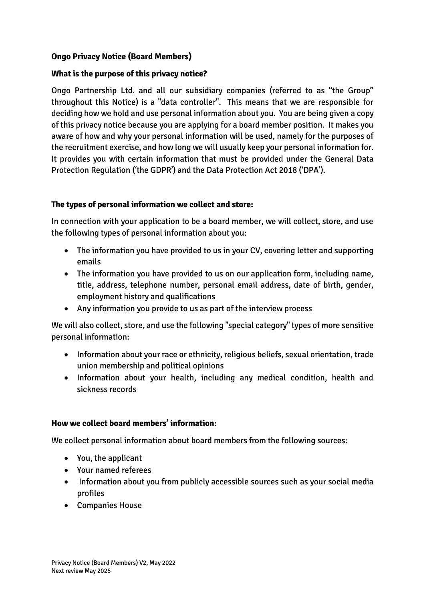# **Ongo Privacy Notice (Board Members)**

### **What is the purpose of this privacy notice?**

Ongo Partnership Ltd. and all our subsidiary companies (referred to as "the Group" throughout this Notice) is a "data controller". This means that we are responsible for deciding how we hold and use personal information about you. You are being given a copy of this privacy notice because you are applying for a board member position. It makes you aware of how and why your personal information will be used, namely for the purposes of the recruitment exercise, and how long we will usually keep your personal information for. It provides you with certain information that must be provided under the General Data Protection Regulation ('the GDPR') and the Data Protection Act 2018 ('DPA').

### **The types of personal information we collect and store:**

In connection with your application to be a board member, we will collect, store, and use the following types of personal information about you:

- The information you have provided to us in your CV, covering letter and supporting emails
- The information you have provided to us on our application form, including name, title, address, telephone number, personal email address, date of birth, gender, employment history and qualifications
- Any information you provide to us as part of the interview process

We will also collect, store, and use the following "special category" types of more sensitive personal information:

- Information about your race or ethnicity, religious beliefs, sexual orientation, trade union membership and political opinions
- Information about your health, including any medical condition, health and sickness records

#### **How we collect board members' information:**

We collect personal information about board members from the following sources:

- You, the applicant
- Your named referees
- Information about you from publicly accessible sources such as your social media profiles
- Companies House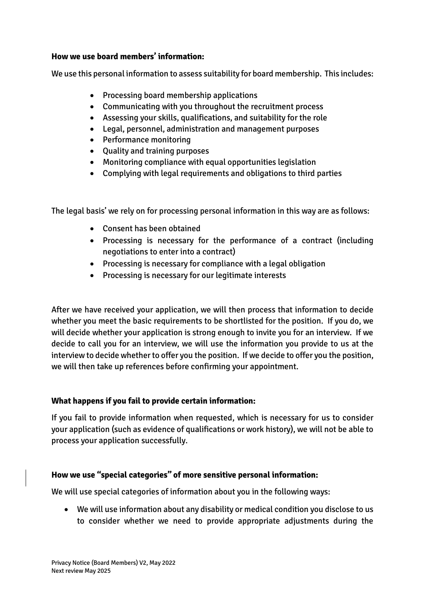#### **How we use board members' information:**

We use this personal information to assess suitability for board membership. This includes:

- Processing board membership applications
- Communicating with you throughout the recruitment process
- Assessing your skills, qualifications, and suitability for the role
- Legal, personnel, administration and management purposes
- Performance monitoring
- Quality and training purposes
- Monitoring compliance with equal opportunities legislation
- Complying with legal requirements and obligations to third parties

The legal basis' we rely on for processing personal information in this way are as follows:

- Consent has been obtained
- Processing is necessary for the performance of a contract (including negotiations to enter into a contract)
- Processing is necessary for compliance with a legal obligation
- Processing is necessary for our legitimate interests

After we have received your application, we will then process that information to decide whether you meet the basic requirements to be shortlisted for the position. If you do, we will decide whether your application is strong enough to invite you for an interview. If we decide to call you for an interview, we will use the information you provide to us at the interview to decide whether to offer you the position. If we decide to offer you the position, we will then take up references before confirming your appointment.

#### **What happens if you fail to provide certain information:**

If you fail to provide information when requested, which is necessary for us to consider your application (such as evidence of qualifications or work history), we will not be able to process your application successfully.

# **How we use "special categories" of more sensitive personal information:**

We will use special categories of information about you in the following ways:

• We will use information about any disability or medical condition you disclose to us to consider whether we need to provide appropriate adjustments during the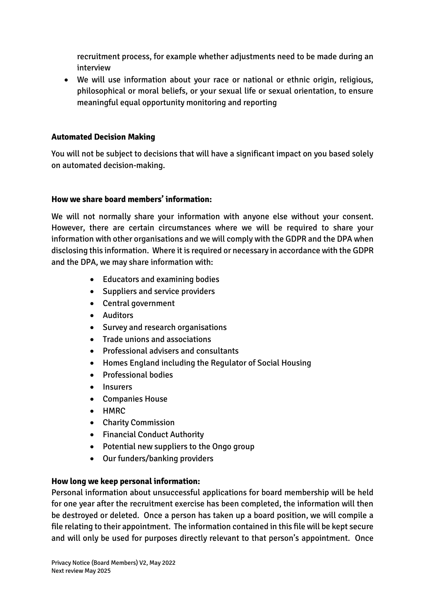recruitment process, for example whether adjustments need to be made during an interview

• We will use information about your race or national or ethnic origin, religious, philosophical or moral beliefs, or your sexual life or sexual orientation, to ensure meaningful equal opportunity monitoring and reporting

# **Automated Decision Making**

You will not be subject to decisions that will have a significant impact on you based solely on automated decision-making.

### **How we share board members' information:**

We will not normally share your information with anyone else without your consent. However, there are certain circumstances where we will be required to share your information with other organisations and we will comply with the GDPR and the DPA when disclosing this information. Where it is required or necessary in accordance with the GDPR and the DPA, we may share information with:

- Educators and examining bodies
- Suppliers and service providers
- Central government
- Auditors
- Survey and research organisations
- Trade unions and associations
- Professional advisers and consultants
- Homes England including the Regulator of Social Housing
- Professional bodies
- **Insurers**
- Companies House
- HMRC
- Charity Commission
- Financial Conduct Authority
- Potential new suppliers to the Ongo group
- Our funders/banking providers

# **How long we keep personal information:**

Personal information about unsuccessful applications for board membership will be held for one year after the recruitment exercise has been completed, the information will then be destroyed or deleted. Once a person has taken up a board position, we will compile a file relating to their appointment. The information contained in this file will be kept secure and will only be used for purposes directly relevant to that person's appointment. Once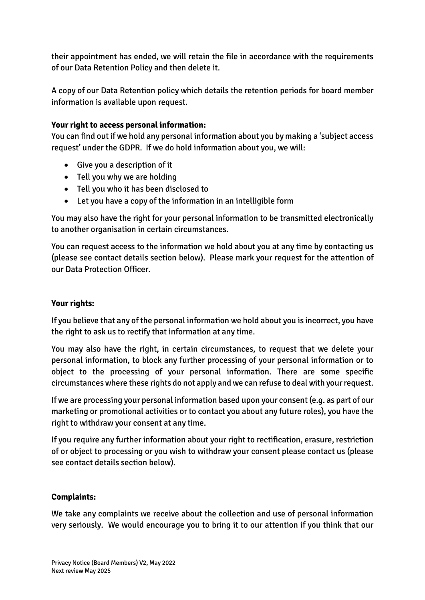their appointment has ended, we will retain the file in accordance with the requirements of our Data Retention Policy and then delete it.

A copy of our Data Retention policy which details the retention periods for board member information is available upon request.

### **Your right to access personal information:**

You can find out if we hold any personal information about you by making a 'subject access request' under the GDPR. If we do hold information about you, we will:

- Give you a description of it
- Tell you why we are holding
- Tell you who it has been disclosed to
- Let you have a copy of the information in an intelligible form

You may also have the right for your personal information to be transmitted electronically to another organisation in certain circumstances.

You can request access to the information we hold about you at any time by contacting us (please see contact details section below). Please mark your request for the attention of our Data Protection Officer.

## **Your rights:**

If you believe that any of the personal information we hold about you is incorrect, you have the right to ask us to rectify that information at any time.

You may also have the right, in certain circumstances, to request that we delete your personal information, to block any further processing of your personal information or to object to the processing of your personal information. There are some specific circumstances where these rights do not apply and we can refuse to deal with your request.

If we are processing your personal information based upon your consent (e.g. as part of our marketing or promotional activities or to contact you about any future roles), you have the right to withdraw your consent at any time.

If you require any further information about your right to rectification, erasure, restriction of or object to processing or you wish to withdraw your consent please contact us (please see contact details section below).

#### **Complaints:**

We take any complaints we receive about the collection and use of personal information very seriously. We would encourage you to bring it to our attention if you think that our